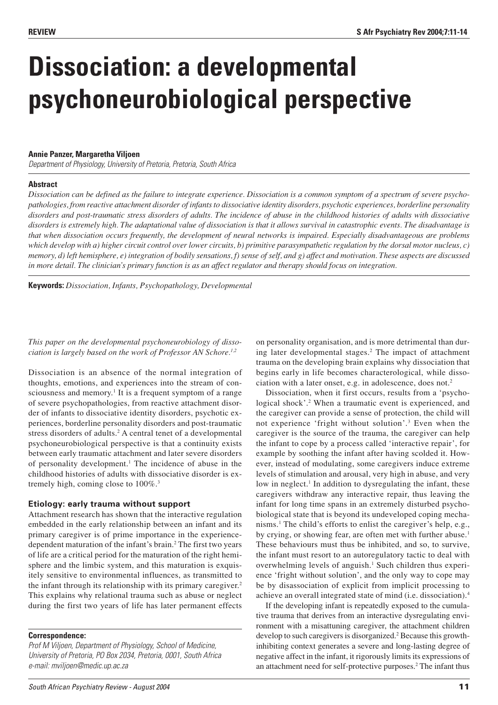# **Dissociation: a developmental psychoneurobiological perspective**

#### **Annie Panzer, Margaretha Viljoen**

Department of Physiology, University of Pretoria, Pretoria, South Africa

#### **Abstract**

*Dissociation can be defined as the failure to integrate experience. Dissociation is a common symptom of a spectrum of severe psychopathologies, from reactive attachment disorder of infants to dissociative identity disorders, psychotic experiences, borderline personality disorders and post-traumatic stress disorders of adults. The incidence of abuse in the childhood histories of adults with dissociative disorders is extremely high. The adaptational value of dissociation is that it allows survival in catastrophic events. The disadvantage is that when dissociation occurs frequently, the development of neural networks is impaired. Especially disadvantageous are problems which develop with a) higher circuit control over lower circuits, b) primitive parasympathetic regulation by the dorsal motor nucleus, c) memory, d) left hemisphere, e) integration of bodily sensations, f) sense of self, and g) affect and motivation. These aspects are discussed in more detail. The clinician's primary function is as an affect regulator and therapy should focus on integration.*

**Keywords:** *Dissociation, Infants, Psychopathology, Developmental*

*This paper on the developmental psychoneurobiology of dissociation is largely based on the work of Professor AN Schore.1,2*

Dissociation is an absence of the normal integration of thoughts, emotions, and experiences into the stream of consciousness and memory.<sup>1</sup> It is a frequent symptom of a range of severe psychopathologies, from reactive attachment disorder of infants to dissociative identity disorders, psychotic experiences, borderline personality disorders and post-traumatic stress disorders of adults.<sup>2</sup> A central tenet of a developmental psychoneurobiological perspective is that a continuity exists between early traumatic attachment and later severe disorders of personality development.1 The incidence of abuse in the childhood histories of adults with dissociative disorder is extremely high, coming close to  $100\%$ <sup>3</sup>

#### **Etiology: early trauma without support**

Attachment research has shown that the interactive regulation embedded in the early relationship between an infant and its primary caregiver is of prime importance in the experiencedependent maturation of the infant's brain.<sup>2</sup> The first two years of life are a critical period for the maturation of the right hemisphere and the limbic system, and this maturation is exquisitely sensitive to environmental influences, as transmitted to the infant through its relationship with its primary caregiver.<sup>2</sup> This explains why relational trauma such as abuse or neglect during the first two years of life has later permanent effects

#### **Correspondence:**

Prof M Viljoen, Department of Physiology, School of Medicine, University of Pretoria, PO Box 2034, Pretoria, 0001, South Africa e-mail: mviljoen@medic.up.ac.za

on personality organisation, and is more detrimental than during later developmental stages.2 The impact of attachment trauma on the developing brain explains why dissociation that begins early in life becomes characterological, while dissociation with a later onset, e.g. in adolescence, does not.2

Dissociation, when it first occurs, results from a 'psychological shock'.<sup>2</sup> When a traumatic event is experienced, and the caregiver can provide a sense of protection, the child will not experience 'fright without solution'.3 Even when the caregiver is the source of the trauma, the caregiver can help the infant to cope by a process called 'interactive repair', for example by soothing the infant after having scolded it. However, instead of modulating, some caregivers induce extreme levels of stimulation and arousal, very high in abuse, and very low in neglect.<sup>1</sup> In addition to dysregulating the infant, these caregivers withdraw any interactive repair, thus leaving the infant for long time spans in an extremely disturbed psychobiological state that is beyond its undeveloped coping mechanisms.1 The child's efforts to enlist the caregiver's help, e.g., by crying, or showing fear, are often met with further abuse.<sup>1</sup> These behaviours must thus be inhibited, and so, to survive, the infant must resort to an autoregulatory tactic to deal with overwhelming levels of anguish.<sup>1</sup> Such children thus experience 'fright without solution', and the only way to cope may be by disassociation of explicit from implicit processing to achieve an overall integrated state of mind (i.e. dissociation).4

If the developing infant is repeatedly exposed to the cumulative trauma that derives from an interactive dysregulating environment with a misattuning caregiver, the attachment children develop to such caregivers is disorganized.<sup>2</sup> Because this growthinhibiting context generates a severe and long-lasting degree of negative affect in the infant, it rigorously limits its expressions of an attachment need for self-protective purposes.2 The infant thus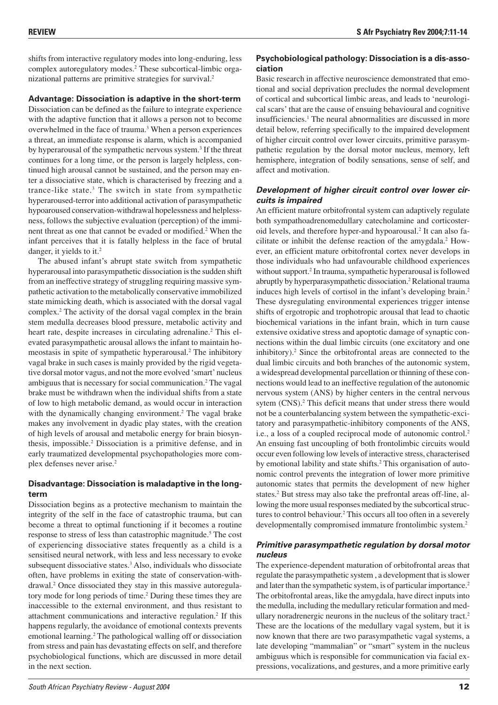shifts from interactive regulatory modes into long-enduring, less complex autoregulatory modes.<sup>2</sup> These subcortical-limbic organizational patterns are primitive strategies for survival.2

# **Advantage: Dissociation is adaptive in the short-term**

Dissociation can be defined as the failure to integrate experience with the adaptive function that it allows a person not to become overwhelmed in the face of trauma.<sup>3</sup> When a person experiences a threat, an immediate response is alarm, which is accompanied by hyperarousal of the sympathetic nervous system.3 If the threat continues for a long time, or the person is largely helpless, continued high arousal cannot be sustained, and the person may enter a dissociative state, which is characterised by freezing and a trance-like state.3 The switch in state from sympathetic hyperaroused-terror into additional activation of parasympathetic hypoaroused conservation-withdrawal hopelessness and helplessness, follows the subjective evaluation (perception) of the imminent threat as one that cannot be evaded or modified.2 When the infant perceives that it is fatally helpless in the face of brutal danger, it yields to it.<sup>2</sup>

The abused infant's abrupt state switch from sympathetic hyperarousal into parasympathetic dissociation is the sudden shift from an ineffective strategy of struggling requiring massive sympathetic activation to the metabolically conservative immobilized state mimicking death, which is associated with the dorsal vagal complex.2 The activity of the dorsal vagal complex in the brain stem medulla decreases blood pressure, metabolic activity and heart rate, despite increases in circulating adrenaline.<sup>2</sup> This elevated parasympathetic arousal allows the infant to maintain homeostasis in spite of sympathetic hyperarousal.2 The inhibitory vagal brake in such cases is mainly provided by the rigid vegetative dorsal motor vagus, and not the more evolved 'smart' nucleus ambiguus that is necessary for social communication.2 The vagal brake must be withdrawn when the individual shifts from a state of low to high metabolic demand, as would occur in interaction with the dynamically changing environment.<sup>2</sup> The vagal brake makes any involvement in dyadic play states, with the creation of high levels of arousal and metabolic energy for brain biosynthesis, impossible.2 Dissociation is a primitive defense, and in early traumatized developmental psychopathologies more complex defenses never arise.<sup>2</sup>

# **Disadvantage: Dissociation is maladaptive in the longterm**

Dissociation begins as a protective mechanism to maintain the integrity of the self in the face of catastrophic trauma, but can become a threat to optimal functioning if it becomes a routine response to stress of less than catastrophic magnitude.<sup>5</sup> The cost of experiencing dissociative states frequently as a child is a sensitised neural network, with less and less necessary to evoke subsequent dissociative states.3 Also, individuals who dissociate often, have problems in exiting the state of conservation-withdrawal.2 Once dissociated they stay in this massive autoregulatory mode for long periods of time.<sup>2</sup> During these times they are inaccessible to the external environment, and thus resistant to attachment communications and interactive regulation.2 If this happens regularly, the avoidance of emotional contexts prevents emotional learning.2 The pathological walling off or dissociation from stress and pain has devastating effects on self, and therefore psychobiological functions, which are discussed in more detail in the next section.

# **Psychobiological pathology: Dissociation is a dis-association**

Basic research in affective neuroscience demonstrated that emotional and social deprivation precludes the normal development of cortical and subcortical limbic areas, and leads to 'neurological scars' that are the cause of ensuing behavioural and cognitive insufficiencies.1 The neural abnormalities are discussed in more detail below, referring specifically to the impaired development of higher circuit control over lower circuits, primitive parasympathetic regulation by the dorsal motor nucleus, memory, left hemisphere, integration of bodily sensations, sense of self, and affect and motivation.

## **Development of higher circuit control over lower circuits is impaired**

An efficient mature orbitofrontal system can adaptively regulate both sympathoadrenomedullary catecholamine and corticosteroid levels, and therefore hyper-and hypoarousal.2 It can also facilitate or inhibit the defense reaction of the amygdala.2 However, an efficient mature orbitofrontal cortex never develops in those individuals who had unfavourable childhood experiences without support.<sup>2</sup> In trauma, sympathetic hyperarousal is followed abruptly by hyperparasympathetic dissociation.2 Relational trauma induces high levels of cortisol in the infant's developing brain.2 These dysregulating environmental experiences trigger intense shifts of ergotropic and trophotropic arousal that lead to chaotic biochemical variations in the infant brain, which in turn cause extensive oxidative stress and apoptotic damage of synaptic connections within the dual limbic circuits (one excitatory and one inhibitory).2 Since the orbitofrontal areas are connected to the dual limbic circuits and both branches of the autonomic system, a widespread developmental parcellation or thinning of these connections would lead to an ineffective regulation of the autonomic nervous system (ANS) by higher centers in the central nervous sytem (CNS).<sup>2</sup> This deficit means that under stress there would not be a counterbalancing system between the sympathetic-excitatory and parasympathetic-inhibitory components of the ANS, i.e., a loss of a coupled reciprocal mode of autonomic control.2 An ensuing fast uncoupling of both frontolimbic circuits would occur even following low levels of interactive stress, characterised by emotional lability and state shifts.2 This organisation of autonomic control prevents the integration of lower more primitive autonomic states that permits the development of new higher states.2 But stress may also take the prefrontal areas off-line, allowing the more usual responses mediated by the subcortical structures to control behaviour.<sup>2</sup> This occurs all too often in a severely developmentally compromised immature frontolimbic system.<sup>2</sup>

# **Primitive parasympathetic regulation by dorsal motor nucleus**

The experience-dependent maturation of orbitofrontal areas that regulate the parasympathetic system , a development that is slower and later than the sympathetic system, is of particular importance.<sup>2</sup> The orbitofrontal areas, like the amygdala, have direct inputs into the medulla, including the medullary reticular formation and medullary noradrenergic neurons in the nucleus of the solitary tract.<sup>2</sup> These are the locations of the medullary vagal system, but it is now known that there are two parasympathetic vagal systems, a late developing "mammalian" or "smart" system in the nucleus ambiguus which is responsible for communication via facial expressions, vocalizations, and gestures, and a more primitive early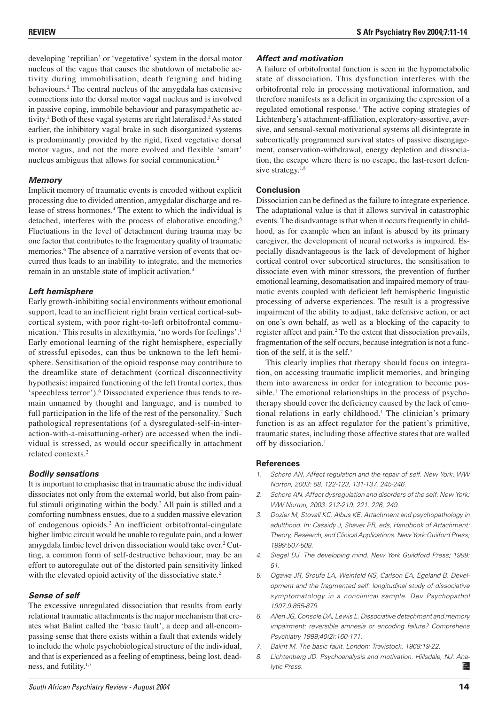developing 'reptilian' or 'vegetative' system in the dorsal motor nucleus of the vagus that causes the shutdown of metabolic activity during immobilisation, death feigning and hiding behaviours.2 The central nucleus of the amygdala has extensive connections into the dorsal motor vagal nucleus and is involved in passive coping, immobile behaviour and parasympathetic activity.<sup>2</sup> Both of these vagal systems are right lateralised.<sup>2</sup> As stated earlier, the inhibitory vagal brake in such disorganized systems is predominantly provided by the rigid, fixed vegetative dorsal motor vagus, and not the more evolved and flexible 'smart' nucleus ambiguus that allows for social communication.2

## **Memory**

Implicit memory of traumatic events is encoded without explicit processing due to divided attention, amygdalar discharge and release of stress hormones.4 The extent to which the individual is detached, interferes with the process of elaborative encoding.<sup>6</sup> Fluctuations in the level of detachment during trauma may be one factor that contributes to the fragmentary quality of traumatic memories.<sup>6</sup> The absence of a narrative version of events that occurred thus leads to an inability to integrate, and the memories remain in an unstable state of implicit activation.4

## **Left hemisphere**

Early growth-inhibiting social environments without emotional support, lead to an inefficient right brain vertical cortical-subcortical system, with poor right-to-left orbitofrontal communication.1 This results in alexithymia, 'no words for feelings'.1 Early emotional learning of the right hemisphere, especially of stressful episodes, can thus be unknown to the left hemisphere. Sensitisation of the opioid response may contribute to the dreamlike state of detachment (cortical disconnectivity hypothesis: impaired functioning of the left frontal cortex, thus 'speechless terror').6 Dissociated experience thus tends to remain unnamed by thought and language, and is numbed to full participation in the life of the rest of the personality.<sup>2</sup> Such pathological representations (of a dysregulated-self-in-interaction-with-a-misattuning-other) are accessed when the individual is stressed, as would occur specifically in attachment related contexts.2

#### **Bodily sensations**

It is important to emphasise that in traumatic abuse the individual dissociates not only from the external world, but also from painful stimuli originating within the body.<sup>2</sup> All pain is stilled and a comforting numbness ensues, due to a sudden massive elevation of endogenous opioids.2 An inefficient orbitofrontal-cingulate higher limbic circuit would be unable to regulate pain, and a lower amygdala limbic level driven dissociation would take over.2 Cutting, a common form of self-destructive behaviour, may be an effort to autoregulate out of the distorted pain sensitivity linked with the elevated opioid activity of the dissociative state.<sup>2</sup>

# **Sense of self**

The excessive unregulated dissociation that results from early relational traumatic attachments is the major mechanism that creates what Balint called the 'basic fault', a deep and all-encompassing sense that there exists within a fault that extends widely to include the whole psychobiological structure of the individual, and that is experienced as a feeling of emptiness, being lost, deadness, and futility.1,7

# **Affect and motivation**

A failure of orbitofrontal function is seen in the hypometabolic state of dissociation. This dysfunction interferes with the orbitofrontal role in processing motivational information, and therefore manifests as a deficit in organizing the expression of a regulated emotional response.<sup>1</sup> The active coping strategies of Lichtenberg's attachment-affiliation, exploratory-assertive, aversive, and sensual-sexual motivational systems all disintegrate in subcortically programmed survival states of passive disengagement, conservation-withdrawal, energy depletion and dissociation, the escape where there is no escape, the last-resort defensive strategy.<sup>1,8</sup>

#### **Conclusion**

Dissociation can be defined as the failure to integrate experience. The adaptational value is that it allows survival in catastrophic events. The disadvantage is that when it occurs frequently in childhood, as for example when an infant is abused by its primary caregiver, the development of neural networks is impaired. Especially disadvantageous is the lack of development of higher cortical control over subcortical structures, the sensitisation to dissociate even with minor stressors, the prevention of further emotional learning, desomatisation and impaired memory of traumatic events coupled with deficient left hemispheric linguistic processing of adverse experiences. The result is a progressive impairment of the ability to adjust, take defensive action, or act on one's own behalf, as well as a blocking of the capacity to register affect and pain.2 To the extent that dissociation prevails, fragmentation of the self occurs, because integration is not a function of the self, it is the self.<sup>5</sup>

This clearly implies that therapy should focus on integration, on accessing traumatic implicit memories, and bringing them into awareness in order for integration to become possible.<sup>1</sup> The emotional relationships in the process of psychotherapy should cover the deficiency caused by the lack of emotional relations in early childhood.1 The clinician's primary function is as an affect regulator for the patient's primitive, traumatic states, including those affective states that are walled off by dissociation.<sup>1</sup>

#### **References**

- 1. Schore AN. Affect regulation and the repair of self. New York: WW Norton, 2003: 68, 122-123, 131-137, 245-246.
- 2. Schore AN. Affect dysregulation and disorders of the self. New York: WW Norton, 2003: 212-219, 221, 226, 249.
- 3. Dozier M, Stovall KC, Albus KE. Attachment and psychopathology in adulthood. In: Cassidy J, Shaver PR, eds, Handbook of Attachment: Theory, Research, and Clinical Applications. New York:Guilford Press; 1999:507-508.
- 4. Siegel DJ. The developing mind. New York Guildford Press; 1999: 51.
- 5. Ogawa JR, Sroufe LA, Weinfeld NS, Carlson EA, Egeland B. Development and the fragmented self: longitudinal study of dissociative symptomatology in a nonclinical sample. Dev Psychopathol 1997;9:855-879.
- 6. Allen JG, Console DA, Lewis L. Dissociative detachment and memory impairment: reversible amnesia or encoding failure? Comprehens Psychiatry 1999;40(2):160-171.
- 7. Balint M. The basic fault. London: Travistock, 1968:19-22.
- 8. Lichtenberg JD. Psychoanalysis and motivation. Hillsdale, NJ: Analytic Press.**Free**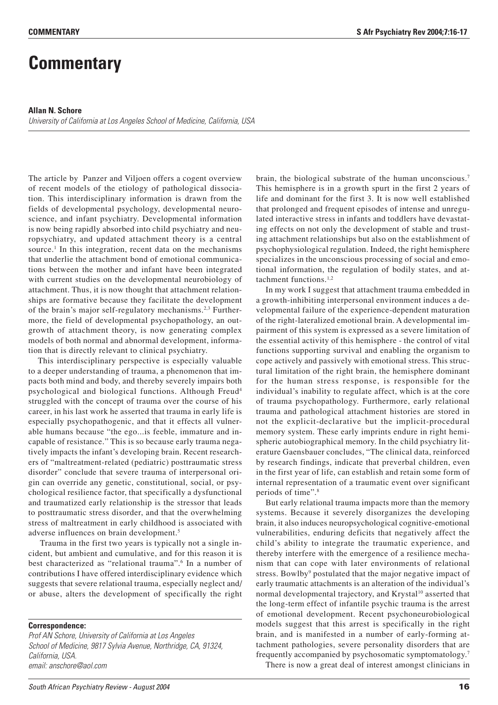# **Commentary**

University of California at Los Angeles School of Medicine, California, USA

The article by Panzer and Viljoen offers a cogent overview of recent models of the etiology of pathological dissociation. This interdisciplinary information is drawn from the fields of developmental psychology, developmental neuroscience, and infant psychiatry. Developmental information is now being rapidly absorbed into child psychiatry and neuropsychiatry, and updated attachment theory is a central source.<sup>1</sup> In this integration, recent data on the mechanisms that underlie the attachment bond of emotional communications between the mother and infant have been integrated with current studies on the developmental neurobiology of attachment. Thus, it is now thought that attachment relationships are formative because they facilitate the development of the brain's major self-regulatory mechanisms.2,3 Furthermore, the field of developmental psychopathology, an outgrowth of attachment theory, is now generating complex models of both normal and abnormal development, information that is directly relevant to clinical psychiatry.

This interdisciplinary perspective is especially valuable to a deeper understanding of trauma, a phenomenon that impacts both mind and body, and thereby severely impairs both psychological and biological functions. Although Freud4 struggled with the concept of trauma over the course of his career, in his last work he asserted that trauma in early life is especially psychopathogenic, and that it effects all vulnerable humans because "the ego...is feeble, immature and incapable of resistance." This is so because early trauma negatively impacts the infant's developing brain. Recent researchers of "maltreatment-related (pediatric) posttraumatic stress disorder" conclude that severe trauma of interpersonal origin can override any genetic, constitutional, social, or psychological resilience factor, that specifically a dysfunctional and traumatized early relationship is the stressor that leads to posttraumatic stress disorder, and that the overwhelming stress of maltreatment in early childhood is associated with adverse influences on brain development.5

Trauma in the first two years is typically not a single incident, but ambient and cumulative, and for this reason it is best characterized as "relational trauma".6 In a number of contributions I have offered interdisciplinary evidence which suggests that severe relational trauma, especially neglect and/ or abuse, alters the development of specifically the right

**Correspondence:**

Prof AN Schore, University of California at Los Angeles School of Medicine, 9817 Sylvia Avenue, Northridge, CA, 91324, California, USA. email: anschore@aol.com

brain, the biological substrate of the human unconscious.7 This hemisphere is in a growth spurt in the first 2 years of life and dominant for the first 3. It is now well established that prolonged and frequent episodes of intense and unregulated interactive stress in infants and toddlers have devastating effects on not only the development of stable and trusting attachment relationships but also on the establishment of psychophysiological regulation. Indeed, the right hemisphere

specializes in the unconscious processing of social and emotional information, the regulation of bodily states, and at-

tachment functions.<sup>1,2</sup> In my work I suggest that attachment trauma embedded in a growth-inhibiting interpersonal environment induces a developmental failure of the experience-dependent maturation of the right-lateralized emotional brain. A developmental impairment of this system is expressed as a severe limitation of the essential activity of this hemisphere - the control of vital functions supporting survival and enabling the organism to cope actively and passively with emotional stress. This structural limitation of the right brain, the hemisphere dominant for the human stress response, is responsible for the individual's inability to regulate affect, which is at the core of trauma psychopathology. Furthermore, early relational trauma and pathological attachment histories are stored in not the explicit-declarative but the implicit-procedural memory system. These early imprints endure in right hemispheric autobiographical memory. In the child psychiatry literature Gaensbauer concludes, "The clinical data, reinforced by research findings, indicate that preverbal children, even in the first year of life, can establish and retain some form of internal representation of a traumatic event over significant periods of time".8

But early relational trauma impacts more than the memory systems. Because it severely disorganizes the developing brain, it also induces neuropsychological cognitive-emotional vulnerabilities, enduring deficits that negatively affect the child's ability to integrate the traumatic experience, and thereby interfere with the emergence of a resilience mechanism that can cope with later environments of relational stress. Bowlby<sup>9</sup> postulated that the major negative impact of early traumatic attachments is an alteration of the individual's normal developmental trajectory, and Krystal<sup>10</sup> asserted that the long-term effect of infantile psychic trauma is the arrest of emotional development. Recent psychoneurobiological models suggest that this arrest is specifically in the right brain, and is manifested in a number of early-forming attachment pathologies, severe personality disorders that are frequently accompanied by psychosomatic symptomatology.7

There is now a great deal of interest amongst clinicians in